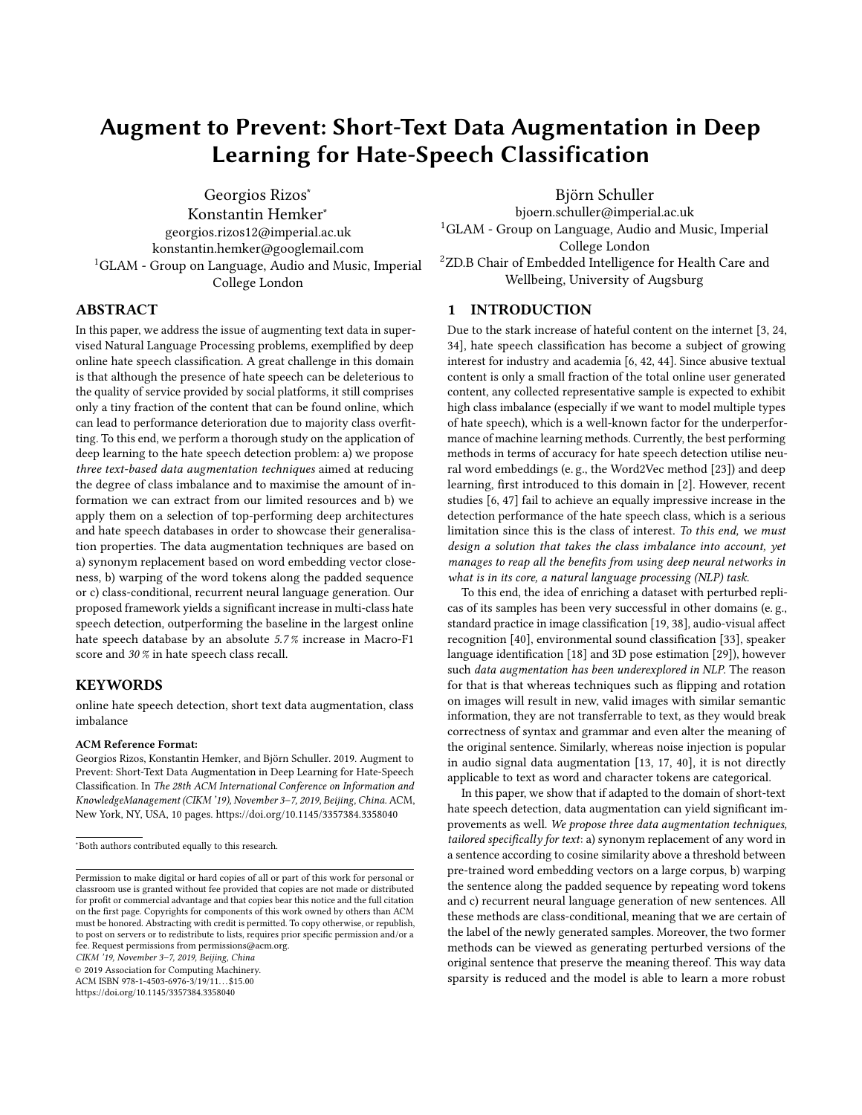# Augment to Prevent: Short-Text Data Augmentation in Deep Learning for Hate-Speech Classification

Georgios Rizos<sup>∗</sup> Konstantin Hemker<sup>∗</sup> georgios.rizos12@imperial.ac.uk konstantin.hemker@googlemail.com <sup>1</sup>GLAM - Group on Language, Audio and Music, Imperial College London

# ABSTRACT

In this paper, we address the issue of augmenting text data in supervised Natural Language Processing problems, exemplified by deep online hate speech classification. A great challenge in this domain is that although the presence of hate speech can be deleterious to the quality of service provided by social platforms, it still comprises only a tiny fraction of the content that can be found online, which can lead to performance deterioration due to majority class overfitting. To this end, we perform a thorough study on the application of deep learning to the hate speech detection problem: a) we propose three text-based data augmentation techniques aimed at reducing the degree of class imbalance and to maximise the amount of information we can extract from our limited resources and b) we apply them on a selection of top-performing deep architectures and hate speech databases in order to showcase their generalisation properties. The data augmentation techniques are based on a) synonym replacement based on word embedding vector closeness, b) warping of the word tokens along the padded sequence or c) class-conditional, recurrent neural language generation. Our proposed framework yields a significant increase in multi-class hate speech detection, outperforming the baseline in the largest online hate speech database by an absolute 5.7 % increase in Macro-F1 score and 30 % in hate speech class recall.

## KEYWORDS

online hate speech detection, short text data augmentation, class imbalance

#### ACM Reference Format:

Georgios Rizos, Konstantin Hemker, and Björn Schuller. 2019. Augment to Prevent: Short-Text Data Augmentation in Deep Learning for Hate-Speech Classification. In The 28th ACM International Conference on Information and KnowledgeManagement (CIKM '19), November 3–7, 2019, Beijing, China. ACM, New York, NY, USA, [10](#page-9-0) pages.<https://doi.org/10.1145/3357384.3358040>

CIKM '19, November 3–7, 2019, Beijing, China

© 2019 Association for Computing Machinery.

ACM ISBN 978-1-4503-6976-3/19/11...\$15.00 <https://doi.org/10.1145/3357384.3358040>

Björn Schuller bjoern.schuller@imperial.ac.uk <sup>1</sup>GLAM - Group on Language, Audio and Music, Imperial College London <sup>2</sup>ZD.B Chair of Embedded Intelligence for Health Care and Wellbeing, University of Augsburg

# 1 INTRODUCTION

Due to the stark increase of hateful content on the internet [\[3,](#page-8-0) [24,](#page-9-1) [34\]](#page-9-2), hate speech classification has become a subject of growing interest for industry and academia [\[6,](#page-8-1) [42,](#page-9-3) [44\]](#page-9-4). Since abusive textual content is only a small fraction of the total online user generated content, any collected representative sample is expected to exhibit high class imbalance (especially if we want to model multiple types of hate speech), which is a well-known factor for the underperformance of machine learning methods. Currently, the best performing methods in terms of accuracy for hate speech detection utilise neural word embeddings (e. g., the Word2Vec method [\[23\]](#page-9-5)) and deep learning, first introduced to this domain in [\[2\]](#page-8-2). However, recent studies [\[6,](#page-8-1) [47\]](#page-9-6) fail to achieve an equally impressive increase in the detection performance of the hate speech class, which is a serious limitation since this is the class of interest. To this end, we must design a solution that takes the class imbalance into account, yet manages to reap all the benefits from using deep neural networks in what is in its core, a natural language processing (NLP) task.

To this end, the idea of enriching a dataset with perturbed replicas of its samples has been very successful in other domains (e. g., standard practice in image classification [\[19,](#page-9-7) [38\]](#page-9-8), audio-visual affect recognition [\[40\]](#page-9-9), environmental sound classification [\[33\]](#page-9-10), speaker language identification [\[18\]](#page-9-11) and 3D pose estimation [\[29\]](#page-9-12)), however such data augmentation has been underexplored in NLP. The reason for that is that whereas techniques such as flipping and rotation on images will result in new, valid images with similar semantic information, they are not transferrable to text, as they would break correctness of syntax and grammar and even alter the meaning of the original sentence. Similarly, whereas noise injection is popular in audio signal data augmentation [\[13,](#page-9-13) [17,](#page-9-14) [40\]](#page-9-9), it is not directly applicable to text as word and character tokens are categorical.

In this paper, we show that if adapted to the domain of short-text hate speech detection, data augmentation can yield significant improvements as well. We propose three data augmentation techniques, tailored specifically for text: a) synonym replacement of any word in a sentence according to cosine similarity above a threshold between pre-trained word embedding vectors on a large corpus, b) warping the sentence along the padded sequence by repeating word tokens and c) recurrent neural language generation of new sentences. All these methods are class-conditional, meaning that we are certain of the label of the newly generated samples. Moreover, the two former methods can be viewed as generating perturbed versions of the original sentence that preserve the meaning thereof. This way data sparsity is reduced and the model is able to learn a more robust

<sup>∗</sup>Both authors contributed equally to this research.

Permission to make digital or hard copies of all or part of this work for personal or classroom use is granted without fee provided that copies are not made or distributed for profit or commercial advantage and that copies bear this notice and the full citation on the first page. Copyrights for components of this work owned by others than ACM must be honored. Abstracting with credit is permitted. To copy otherwise, or republish, to post on servers or to redistribute to lists, requires prior specific permission and/or a fee. Request permissions from permissions@acm.org.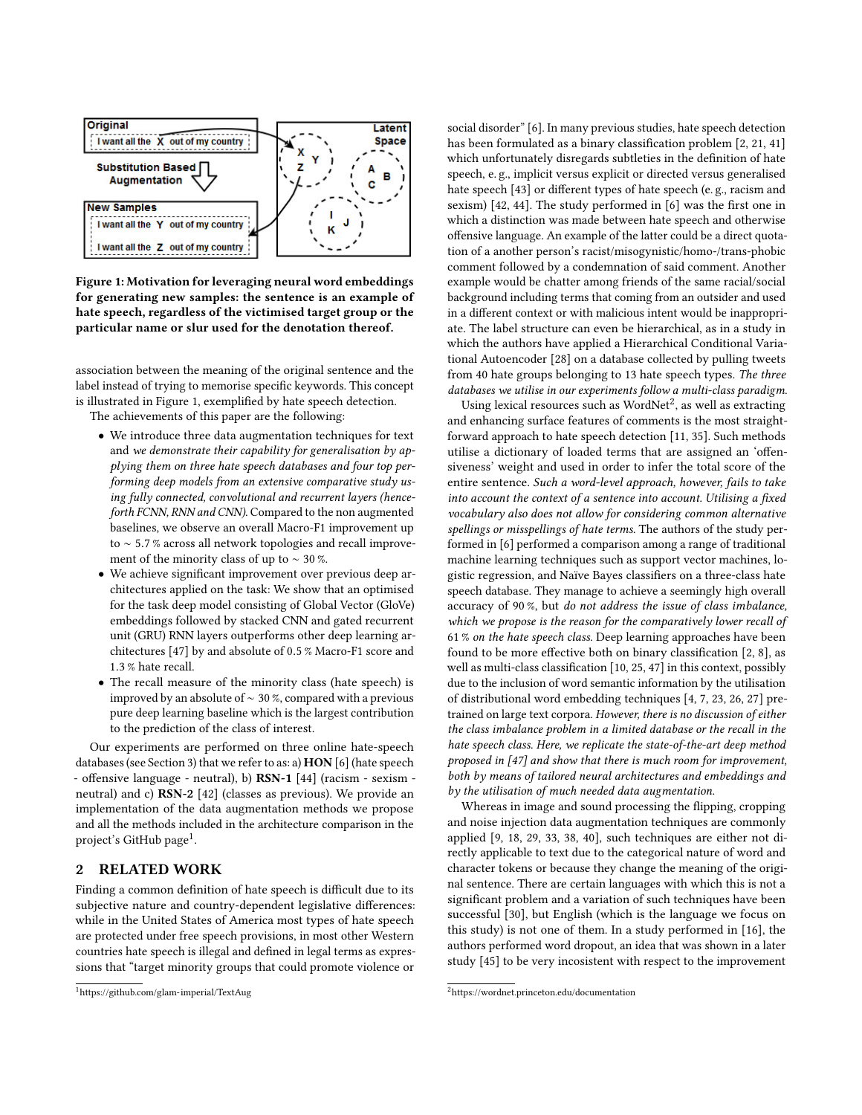<span id="page-1-0"></span>

Figure 1: Motivation for leveraging neural word embeddings for generating new samples: the sentence is an example of hate speech, regardless of the victimised target group or the particular name or slur used for the denotation thereof.

association between the meaning of the original sentence and the label instead of trying to memorise specific keywords. This concept is illustrated in Figure [1,](#page-1-0) exemplified by hate speech detection.

The achievements of this paper are the following:

- We introduce three data augmentation techniques for text and we demonstrate their capability for generalisation by applying them on three hate speech databases and four top performing deep models from an extensive comparative study using fully connected, convolutional and recurrent layers (henceforth FCNN, RNN and CNN). Compared to the non augmented baselines, we observe an overall Macro-F1 improvement up to <sup>∼</sup> <sup>5</sup>.7 % across all network topologies and recall improvement of the minority class of up to ∼ 30 %.
- We achieve significant improvement over previous deep architectures applied on the task: We show that an optimised for the task deep model consisting of Global Vector (GloVe) embeddings followed by stacked CNN and gated recurrent unit (GRU) RNN layers outperforms other deep learning architectures [\[47\]](#page-9-6) by and absolute of <sup>0</sup>.5 % Macro-F1 score and <sup>1</sup>.3 % hate recall.
- The recall measure of the minority class (hate speech) is improved by an absolute of ∼ 30 %, compared with a previous pure deep learning baseline which is the largest contribution to the prediction of the class of interest.

Our experiments are performed on three online hate-speech databases (see Section [3\)](#page-2-0) that we refer to as: a) HON [\[6\]](#page-8-1) (hate speech - offensive language - neutral), b) RSN-1 [\[44\]](#page-9-4) (racism - sexism neutral) and c) RSN-2 [\[42\]](#page-9-3) (classes as previous). We provide an implementation of the data augmentation methods we propose and all the methods included in the architecture comparison in the project's GitHub page<sup>[1](#page-1-1)</sup>.

# 2 RELATED WORK

Finding a common definition of hate speech is difficult due to its subjective nature and country-dependent legislative differences: while in the United States of America most types of hate speech are protected under free speech provisions, in most other Western countries hate speech is illegal and defined in legal terms as expressions that "target minority groups that could promote violence or

social disorder" [\[6\]](#page-8-1). In many previous studies, hate speech detection has been formulated as a binary classification problem [\[2,](#page-8-2) [21,](#page-9-15) [41\]](#page-9-16) which unfortunately disregards subtleties in the definition of hate speech, e. g., implicit versus explicit or directed versus generalised hate speech [\[43\]](#page-9-17) or different types of hate speech (e. g., racism and sexism) [\[42,](#page-9-3) [44\]](#page-9-4). The study performed in [\[6\]](#page-8-1) was the first one in which a distinction was made between hate speech and otherwise offensive language. An example of the latter could be a direct quotation of a another person's racist/misogynistic/homo-/trans-phobic comment followed by a condemnation of said comment. Another example would be chatter among friends of the same racial/social background including terms that coming from an outsider and used in a different context or with malicious intent would be inappropriate. The label structure can even be hierarchical, as in a study in which the authors have applied a Hierarchical Conditional Variational Autoencoder [\[28\]](#page-9-18) on a database collected by pulling tweets from 40 hate groups belonging to 13 hate speech types. The three databases we utilise in our experiments follow a multi-class paradigm.

Using lexical resources such as  $WordNet<sup>2</sup>$  $WordNet<sup>2</sup>$  $WordNet<sup>2</sup>$ , as well as extracting and enhancing surface features of comments is the most straightforward approach to hate speech detection [\[11,](#page-9-19) [35\]](#page-9-20). Such methods utilise a dictionary of loaded terms that are assigned an 'offensiveness' weight and used in order to infer the total score of the entire sentence. Such a word-level approach, however, fails to take into account the context of a sentence into account. Utilising a fixed vocabulary also does not allow for considering common alternative spellings or misspellings of hate terms. The authors of the study performed in [\[6\]](#page-8-1) performed a comparison among a range of traditional machine learning techniques such as support vector machines, logistic regression, and Naïve Bayes classifiers on a three-class hate speech database. They manage to achieve a seemingly high overall accuracy of 90 %, but do not address the issue of class imbalance, which we propose is the reason for the comparatively lower recall of 61 % on the hate speech class. Deep learning approaches have been found to be more effective both on binary classification [\[2,](#page-8-2) [8\]](#page-9-21), as well as multi-class classification [\[10,](#page-9-22) [25,](#page-9-23) [47\]](#page-9-6) in this context, possibly due to the inclusion of word semantic information by the utilisation of distributional word embedding techniques [\[4,](#page-8-3) [7,](#page-9-24) [23,](#page-9-5) [26,](#page-9-25) [27\]](#page-9-26) pretrained on large text corpora. However, there is no discussion of either the class imbalance problem in a limited database or the recall in the hate speech class. Here, we replicate the state-of-the-art deep method proposed in [\[47\]](#page-9-6) and show that there is much room for improvement, both by means of tailored neural architectures and embeddings and by the utilisation of much needed data augmentation.

Whereas in image and sound processing the flipping, cropping and noise injection data augmentation techniques are commonly applied [\[9,](#page-9-27) [18,](#page-9-11) [29,](#page-9-12) [33,](#page-9-10) [38,](#page-9-8) [40\]](#page-9-9), such techniques are either not directly applicable to text due to the categorical nature of word and character tokens or because they change the meaning of the original sentence. There are certain languages with which this is not a significant problem and a variation of such techniques have been successful [\[30\]](#page-9-28), but English (which is the language we focus on this study) is not one of them. In a study performed in [\[16\]](#page-9-29), the authors performed word dropout, an idea that was shown in a later study [\[45\]](#page-9-30) to be very incosistent with respect to the improvement

<span id="page-1-1"></span><sup>1</sup><https://github.com/glam-imperial/TextAug>

<span id="page-1-2"></span><sup>2</sup><https://wordnet.princeton.edu/documentation>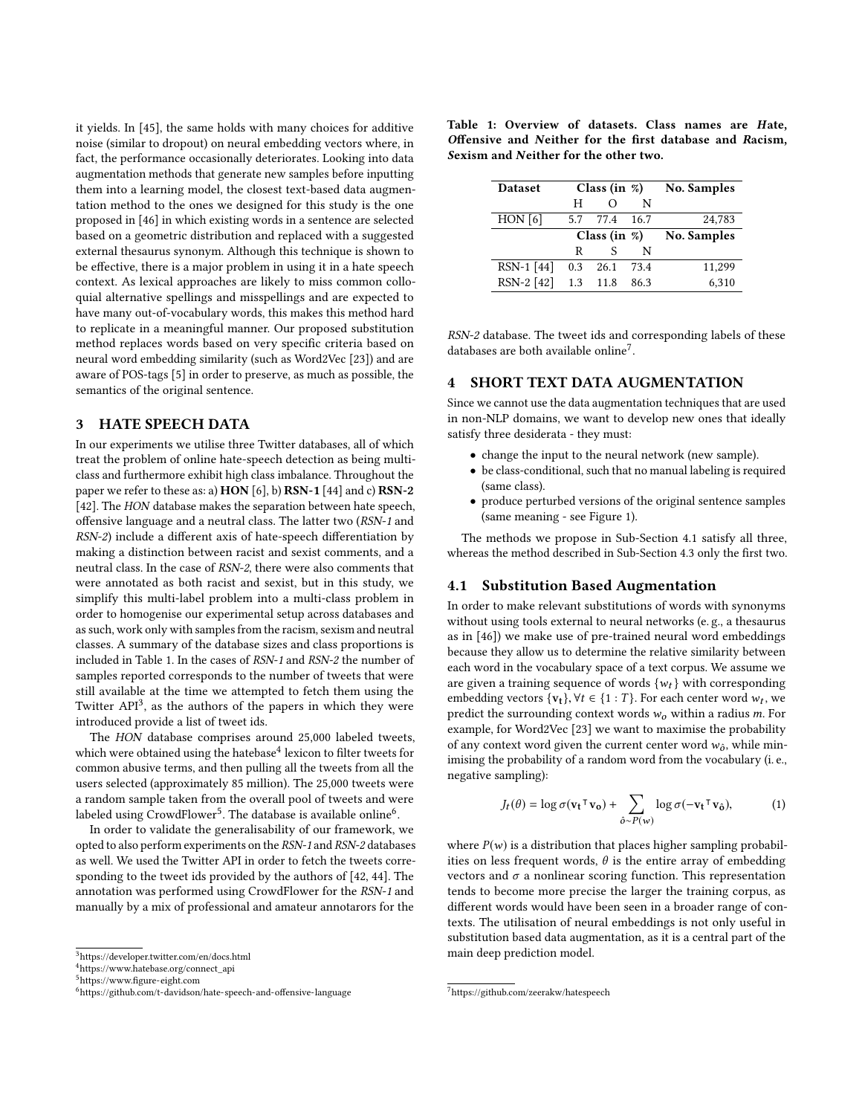it yields. In [\[45\]](#page-9-30), the same holds with many choices for additive noise (similar to dropout) on neural embedding vectors where, in fact, the performance occasionally deteriorates. Looking into data augmentation methods that generate new samples before inputting them into a learning model, the closest text-based data augmentation method to the ones we designed for this study is the one proposed in [\[46\]](#page-9-31) in which existing words in a sentence are selected based on a geometric distribution and replaced with a suggested external thesaurus synonym. Although this technique is shown to be effective, there is a major problem in using it in a hate speech context. As lexical approaches are likely to miss common colloquial alternative spellings and misspellings and are expected to have many out-of-vocabulary words, this makes this method hard to replicate in a meaningful manner. Our proposed substitution method replaces words based on very specific criteria based on neural word embedding similarity (such as Word2Vec [\[23\]](#page-9-5)) and are aware of POS-tags [\[5\]](#page-8-4) in order to preserve, as much as possible, the semantics of the original sentence.

## <span id="page-2-0"></span>3 HATE SPEECH DATA

In our experiments we utilise three Twitter databases, all of which treat the problem of online hate-speech detection as being multiclass and furthermore exhibit high class imbalance. Throughout the paper we refer to these as: a) HON [\[6\]](#page-8-1), b) RSN-1 [\[44\]](#page-9-4) and c) RSN-2 [\[42\]](#page-9-3). The HON database makes the separation between hate speech, offensive language and a neutral class. The latter two (RSN-1 and RSN-2) include a different axis of hate-speech differentiation by making a distinction between racist and sexist comments, and a neutral class. In the case of RSN-2, there were also comments that were annotated as both racist and sexist, but in this study, we simplify this multi-label problem into a multi-class problem in order to homogenise our experimental setup across databases and as such, work only with samples from the racism, sexism and neutral classes. A summary of the database sizes and class proportions is included in Table [1.](#page-2-1) In the cases of RSN-1 and RSN-2 the number of samples reported corresponds to the number of tweets that were still available at the time we attempted to fetch them using the Twitter API<sup>[3](#page-2-2)</sup>, as the authors of the papers in which they were introduced provide a list of tweet ids.

The HON database comprises around 25,000 labeled tweets, which were obtained using the hatebase $^4$  $^4$  lexicon to filter tweets for common abusive terms, and then pulling all the tweets from all the users selected (approximately 85 million). The 25,000 tweets were a random sample taken from the overall pool of tweets and were labeled using CrowdFlower $^5$  $^5$ . The database is available online $^6$  $^6$ .

In order to validate the generalisability of our framework, we opted to also perform experiments on the RSN-1 and RSN-2 databases as well. We used the Twitter API in order to fetch the tweets corresponding to the tweet ids provided by the authors of [\[42,](#page-9-3) [44\]](#page-9-4). The annotation was performed using CrowdFlower for the RSN-1 and manually by a mix of professional and amateur annotarors for the

<span id="page-2-1"></span>Table 1: Overview of datasets. Class names are Hate, Offensive and Neither for the first database and Racism, Sexism and Neither for the other two.

| <b>Dataset</b> |     | Class (in $\%$ ) |      | <b>No. Samples</b> |
|----------------|-----|------------------|------|--------------------|
|                | н   |                  | N    |                    |
| HON[6]         | 5.7 | 77.4             | 16.7 | 24,783             |
|                |     | Class (in $\%$ ) |      | <b>No. Samples</b> |
|                | R   | S                | N    |                    |
| $RSN-1$ [44]   | 0.3 | 26.1             | 73.4 | 11,299             |
| RSN-2 [42]     | 1.3 | 11.8             | 86.3 | 6,310              |

RSN-2 database. The tweet ids and corresponding labels of these databases are both available online<sup>[7](#page-2-6)</sup>.

## 4 SHORT TEXT DATA AUGMENTATION

Since we cannot use the data augmentation techniques that are used in non-NLP domains, we want to develop new ones that ideally satisfy three desiderata - they must:

- change the input to the neural network (new sample).
- be class-conditional, such that no manual labeling is required (same class).
- produce perturbed versions of the original sentence samples (same meaning - see Figure [1\)](#page-1-0).

The methods we propose in Sub-Section [4.1](#page-2-7) satisfy all three, whereas the method described in Sub-Section [4.3](#page-3-0) only the first two.

#### <span id="page-2-7"></span>4.1 Substitution Based Augmentation

In order to make relevant substitutions of words with synonyms without using tools external to neural networks (e. g., a thesaurus as in [\[46\]](#page-9-31)) we make use of pre-trained neural word embeddings because they allow us to determine the relative similarity between each word in the vocabulary space of a text corpus. We assume we are given a training sequence of words  $\{w_t\}$  with corresponding embedding vectors  $\{v_t\}$ ,  $\forall t \in \{1:T\}$ . For each center word  $w_t$ , we predict the surrounding context words  $w_t$ , within a radius m. For predict the surrounding context words  $w_0$  within a radius m. For example, for Word2Vec [\[23\]](#page-9-5) we want to maximise the probability of any context word given the current center word  $w_0$ , while min-<br>imising the probability of a random word from the vocabulary (i.e. imising the probability of a random word from the vocabulary (i. e., negative sampling):

<span id="page-2-8"></span>
$$
J_t(\theta) = \log \sigma(\mathbf{v_t}^\top \mathbf{v_0}) + \sum_{\hat{o} \sim P(w)} \log \sigma(-\mathbf{v_t}^\top \mathbf{v_{\hat{o}}}),\tag{1}
$$

where  $P(w)$  is a distribution that places higher sampling probabilities on less frequent words,  $\theta$  is the entire array of embedding vectors and  $\sigma$  a nonlinear scoring function. This representation tends to become more precise the larger the training corpus, as different words would have been seen in a broader range of contexts. The utilisation of neural embeddings is not only useful in substitution based data augmentation, as it is a central part of the main deep prediction model.

<span id="page-2-2"></span><sup>3</sup><https://developer.twitter.com/en/docs.html>

<span id="page-2-3"></span><sup>4</sup>[https://www.hatebase.org/connect\\_api](https://www.hatebase.org/connect_api)

<span id="page-2-4"></span><sup>5</sup><https://www.figure-eight.com>

<span id="page-2-5"></span><sup>6</sup><https://github.com/t-davidson/hate-speech-and-offensive-language>

<span id="page-2-6"></span><sup>7</sup><https://github.com/zeerakw/hatespeech>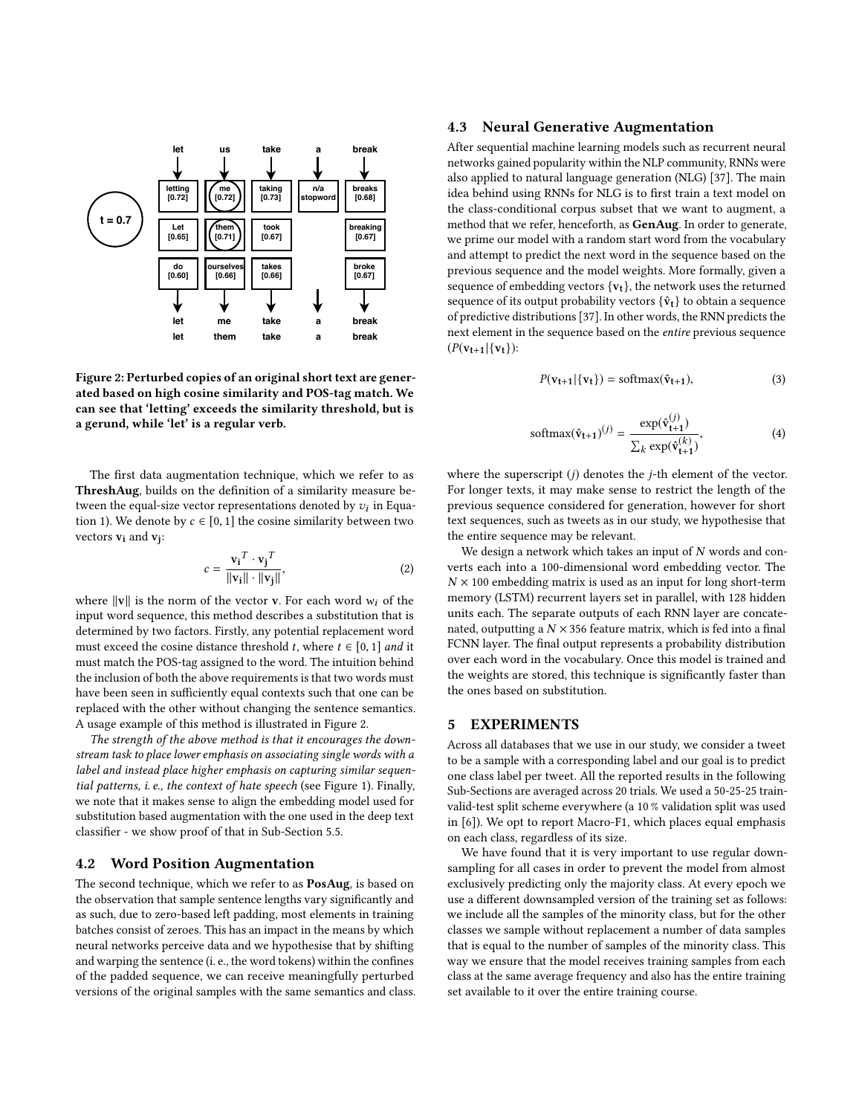<span id="page-3-1"></span>

Figure 2: Perturbed copies of an original short text are generated based on high cosine similarity and POS-tag match. We can see that 'letting' exceeds the similarity threshold, but is a gerund, while 'let' is a regular verb.

The first data augmentation technique, which we refer to as ThreshAug, builds on the definition of a similarity measure between the equal-size vector representations denoted by  $v_i$  in Equa-<br>tion 1). We denote by  $c \in [0, 1]$  the cosine similarity between two tion [1\)](#page-2-8). We denote by  $c \in [0, 1]$  the cosine similarity between two vectors **v**<sub>i</sub> and **v**<sub>j</sub>:

$$
c = \frac{\mathbf{v_i}^T \cdot \mathbf{v_j}^T}{\|\mathbf{v_i}\| \cdot \|\mathbf{v_j}\|},\tag{2}
$$

where  $||v||$  is the norm of the vector v. For each word  $w_i$  of the input word sequence, this method describes a substitution that is determined by two factors. Firstly, any potential replacement word must exceed the cosine distance threshold t, where  $t \in [0, 1]$  and it must match the POS-tag assigned to the word. The intuition behind the inclusion of both the above requirements is that two words must have been seen in sufficiently equal contexts such that one can be replaced with the other without changing the sentence semantics. A usage example of this method is illustrated in Figure [2.](#page-3-1)

The strength of the above method is that it encourages the downstream task to place lower emphasis on associating single words with a label and instead place higher emphasis on capturing similar sequential patterns, i. e., the context of hate speech (see Figure [1\)](#page-1-0). Finally, we note that it makes sense to align the embedding model used for substitution based augmentation with the one used in the deep text classifier - we show proof of that in Sub-Section [5.5.](#page-5-0)

## 4.2 Word Position Augmentation

The second technique, which we refer to as PosAug, is based on the observation that sample sentence lengths vary significantly and as such, due to zero-based left padding, most elements in training batches consist of zeroes. This has an impact in the means by which neural networks perceive data and we hypothesise that by shifting and warping the sentence (i. e., the word tokens) within the confines of the padded sequence, we can receive meaningfully perturbed versions of the original samples with the same semantics and class.

## <span id="page-3-0"></span>4.3 Neural Generative Augmentation

After sequential machine learning models such as recurrent neural networks gained popularity within the NLP community, RNNs were also applied to natural language generation (NLG) [\[37\]](#page-9-32). The main idea behind using RNNs for NLG is to first train a text model on the class-conditional corpus subset that we want to augment, a method that we refer, henceforth, as GenAug. In order to generate, we prime our model with a random start word from the vocabulary and attempt to predict the next word in the sequence based on the previous sequence and the model weights. More formally, given a sequence of embedding vectors  $\{v_t\}$ , the network uses the returned sequence of its output probability vectors  $\{\hat{\mathbf{v}}_t\}$  to obtain a sequence of predictive distributions [\[37\]](#page-9-32). In other words, the RNN predicts the next element in the sequence based on the entire previous sequence  $(P(v_{t+1}|\{v_t\})$ :

$$
P(\mathbf{v}_{t+1}|\{\mathbf{v}_t\}) = \text{softmax}(\hat{\mathbf{v}}_{t+1}),
$$
\n(3)

softmax(
$$
\hat{\mathbf{v}}_{t+1}
$$
)<sup>(j)</sup> =  $\frac{\exp(\hat{\mathbf{v}}_{t+1}^{(j)})}{\sum_{k} \exp(\hat{\mathbf{v}}_{t+1}^{(k)})}$ , (4)

where the superscript  $(j)$  denotes the *j*-th element of the vector. For longer texts, it may make sense to restrict the length of the previous sequence considered for generation, however for short text sequences, such as tweets as in our study, we hypothesise that the entire sequence may be relevant.

We design a network which takes an input of  $N$  words and converts each into a 100-dimensional word embedding vector. The  $N \times 100$  embedding matrix is used as an input for long short-term memory (LSTM) recurrent layers set in parallel, with 128 hidden units each. The separate outputs of each RNN layer are concatenated, outputting a  $N \times 356$  feature matrix, which is fed into a final FCNN layer. The final output represents a probability distribution over each word in the vocabulary. Once this model is trained and the weights are stored, this technique is significantly faster than the ones based on substitution.

# 5 EXPERIMENTS

Across all databases that we use in our study, we consider a tweet to be a sample with a corresponding label and our goal is to predict one class label per tweet. All the reported results in the following Sub-Sections are averaged across 20 trials. We used a 50-25-25 trainvalid-test split scheme everywhere (a 10 % validation split was used in [\[6\]](#page-8-1)). We opt to report Macro-F1, which places equal emphasis on each class, regardless of its size.

We have found that it is very important to use regular downsampling for all cases in order to prevent the model from almost exclusively predicting only the majority class. At every epoch we use a different downsampled version of the training set as follows: we include all the samples of the minority class, but for the other classes we sample without replacement a number of data samples that is equal to the number of samples of the minority class. This way we ensure that the model receives training samples from each class at the same average frequency and also has the entire training set available to it over the entire training course.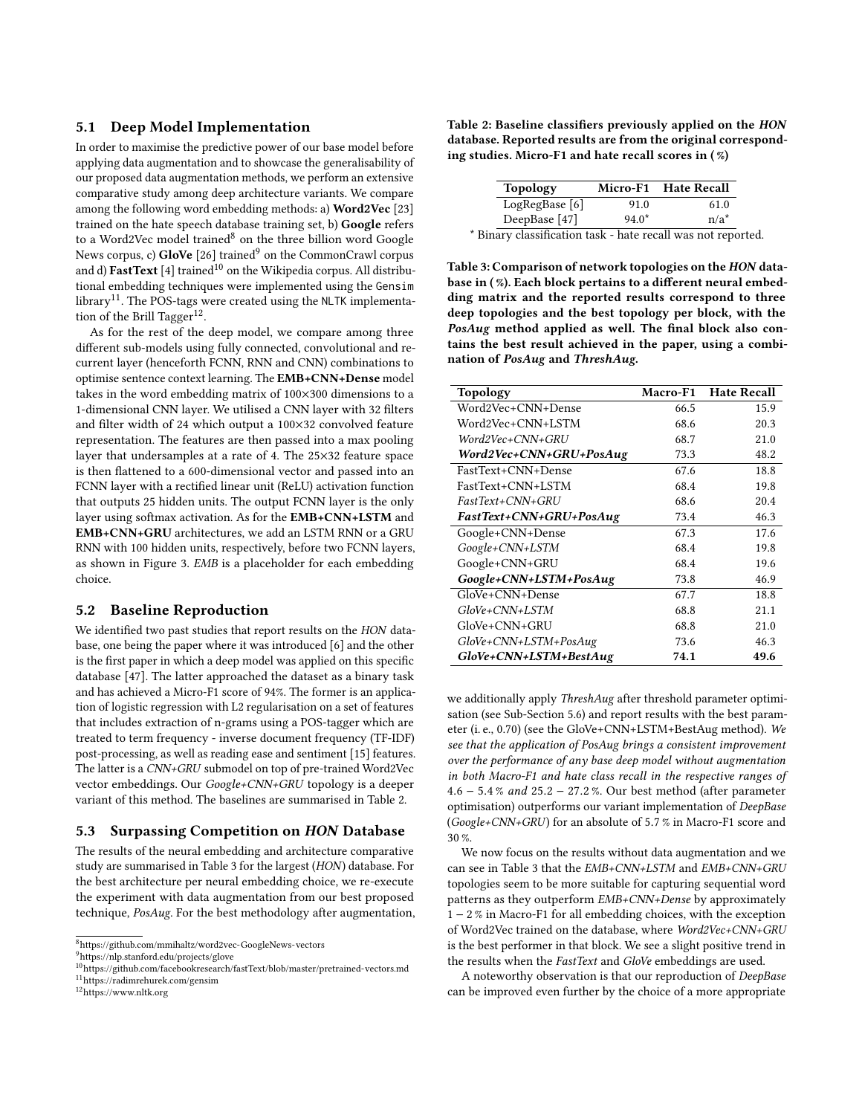## 5.1 Deep Model Implementation

In order to maximise the predictive power of our base model before applying data augmentation and to showcase the generalisability of our proposed data augmentation methods, we perform an extensive comparative study among deep architecture variants. We compare among the following word embedding methods: a) Word2Vec [\[23\]](#page-9-5) trained on the hate speech database training set, b) Google refers to a Word2Vec model trained<sup>[8](#page-4-0)</sup> on the three billion word Google News corpus, c)  $GloVe$  [\[26\]](#page-9-25) trained<sup>[9](#page-4-1)</sup> on the CommonCrawl corpus and d)  $\textbf{FastText}$  [\[4\]](#page-8-3) trained<sup>[10](#page-4-2)</sup> on the Wikipedia corpus. All distributional embedding techniques were implemented using the Gensim library<sup>[11](#page-4-3)</sup>. The POS-tags were created using the NLTK implementa-tion of the Brill Tagger<sup>[12](#page-4-4)</sup>.

As for the rest of the deep model, we compare among three different sub-models using fully connected, convolutional and recurrent layer (henceforth FCNN, RNN and CNN) combinations to optimise sentence context learning. The EMB+CNN+Dense model takes in the word embedding matrix of 100×300 dimensions to a 1-dimensional CNN layer. We utilised a CNN layer with 32 filters and filter width of 24 which output a 100×32 convolved feature representation. The features are then passed into a max pooling layer that undersamples at a rate of 4. The 25×32 feature space is then flattened to a 600-dimensional vector and passed into an FCNN layer with a rectified linear unit (ReLU) activation function that outputs 25 hidden units. The output FCNN layer is the only layer using softmax activation. As for the EMB+CNN+LSTM and EMB+CNN+GRU architectures, we add an LSTM RNN or a GRU RNN with 100 hidden units, respectively, before two FCNN layers, as shown in Figure [3.](#page-5-1) EMB is a placeholder for each embedding choice.

# 5.2 Baseline Reproduction

We identified two past studies that report results on the HON database, one being the paper where it was introduced [\[6\]](#page-8-1) and the other is the first paper in which a deep model was applied on this specific database [\[47\]](#page-9-6). The latter approached the dataset as a binary task and has achieved a Micro-F1 score of 94%. The former is an application of logistic regression with L2 regularisation on a set of features that includes extraction of n-grams using a POS-tagger which are treated to term frequency - inverse document frequency (TF-IDF) post-processing, as well as reading ease and sentiment [\[15\]](#page-9-33) features. The latter is a CNN+GRU submodel on top of pre-trained Word2Vec vector embeddings. Our Google+CNN+GRU topology is a deeper variant of this method. The baselines are summarised in Table [2.](#page-4-5)

# 5.3 Surpassing Competition on HON Database

The results of the neural embedding and architecture comparative study are summarised in Table [3](#page-4-6) for the largest (HON) database. For the best architecture per neural embedding choice, we re-execute the experiment with data augmentation from our best proposed technique, PosAug. For the best methodology after augmentation, <span id="page-4-5"></span>Table 2: Baseline classifiers previously applied on the HON database. Reported results are from the original corresponding studies. Micro-F1 and hate recall scores in ( %)

| <b>Topology</b>                                              | Micro-F1 Hate Recall |         |
|--------------------------------------------------------------|----------------------|---------|
| LogRegBase[6]                                                | 91.0                 | 61.0    |
| DeepBase [47]                                                | $94.0*$              | $n/a^*$ |
| * Binary classification task - hate recall was not reported. |                      |         |

<span id="page-4-6"></span>Table 3: Comparison of network topologies on the HON database in (%). Each block pertains to a different neural embedding matrix and the reported results correspond to three deep topologies and the best topology per block, with the PosAug method applied as well. The final block also contains the best result achieved in the paper, using a combination of PosAug and ThreshAug.

| <b>Topology</b>         | <b>Macro-F1</b> | <b>Hate Recall</b> |
|-------------------------|-----------------|--------------------|
| Word2Vec+CNN+Dense      | 66.5            | 15.9               |
| Word2Vec+CNN+LSTM       | 68.6            | 20.3               |
| Word2Vec+CNN+GRU        | 68.7            | 21.0               |
| Word2Vec+CNN+GRU+PosAug | 73.3            | 48.2               |
| FastText+CNN+Dense      | 67.6            | 18.8               |
| FastText+CNN+LSTM       | 68.4            | 19.8               |
| FastText+CNN+GRU        | 68.6            | 20.4               |
| FastText+CNN+GRU+PosAug | 73.4            | 46.3               |
| Google+CNN+Dense        | 67.3            | 17.6               |
| Google+CNN+LSTM         | 68.4            | 19.8               |
| Google+CNN+GRU          | 68.4            | 19.6               |
| Google+CNN+LSTM+PosAug  | 73.8            | 46.9               |
| GloVe+CNN+Dense         | 67.7            | 18.8               |
| GloVe+CNN+LSTM          | 68.8            | 21.1               |
| GloVe+CNN+GRU           | 68.8            | 21.0               |
| GloVe+CNN+LSTM+PosAug   | 73.6            | 46.3               |
| GloVe+CNN+LSTM+BestAug  | 74.1            | 49.6               |

we additionally apply ThreshAug after threshold parameter optimisation (see Sub-Section [5.6\)](#page-5-2) and report results with the best parameter (i. e., 0.70) (see the GloVe+CNN+LSTM+BestAug method). We see that the application of PosAug brings a consistent improvement over the performance of any base deep model without augmentation in both Macro-F1 and hate class recall in the respective ranges of <sup>4</sup>.<sup>6</sup> <sup>−</sup> <sup>5</sup>.4 % and <sup>25</sup>.<sup>2</sup> <sup>−</sup> <sup>27</sup>.2 %. Our best method (after parameter optimisation) outperforms our variant implementation of DeepBase (Google+CNN+GRU) for an absolute of <sup>5</sup>.7 % in Macro-F1 score and 30 %.

We now focus on the results without data augmentation and we can see in Table [3](#page-4-6) that the EMB+CNN+LSTM and EMB+CNN+GRU topologies seem to be more suitable for capturing sequential word patterns as they outperform EMB+CNN+Dense by approximately 1 − 2 % in Macro-F1 for all embedding choices, with the exception of Word2Vec trained on the database, where Word2Vec+CNN+GRU is the best performer in that block. We see a slight positive trend in the results when the FastText and GloVe embeddings are used.

A noteworthy observation is that our reproduction of DeepBase can be improved even further by the choice of a more appropriate

<span id="page-4-0"></span><sup>8</sup><https://github.com/mmihaltz/word2vec-GoogleNews-vectors>

<span id="page-4-1"></span><sup>9</sup><https://nlp.stanford.edu/projects/glove>

<span id="page-4-2"></span> $^{10}\mathrm{https://github.com/facebookresearch/fastText/blob/master/pretrained-vectors.md}$  $^{10}\mathrm{https://github.com/facebookresearch/fastText/blob/master/pretrained-vectors.md}$  $^{10}\mathrm{https://github.com/facebookresearch/fastText/blob/master/pretrained-vectors.md}$ 

<span id="page-4-3"></span><sup>11</sup><https://radimrehurek.com/gensim>

<span id="page-4-4"></span><sup>12</sup><https://www.nltk.org>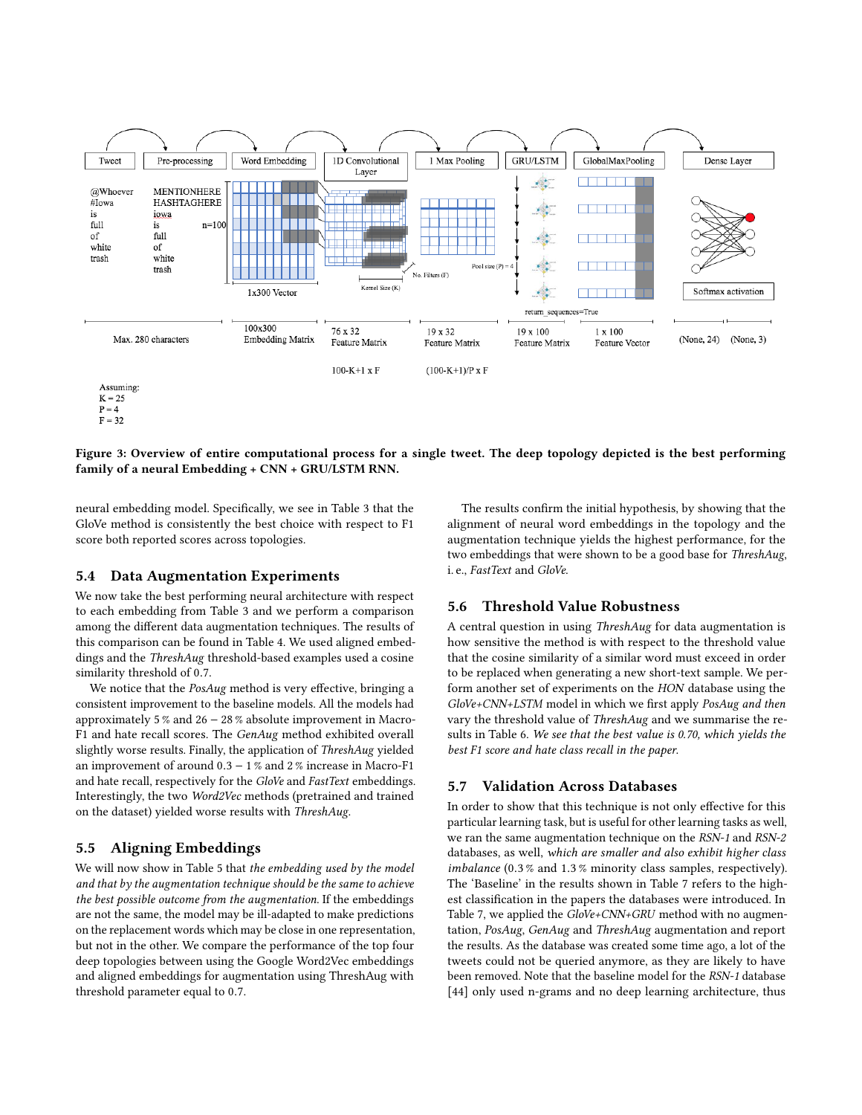<span id="page-5-1"></span>

Figure 3: Overview of entire computational process for a single tweet. The deep topology depicted is the best performing family of a neural Embedding + CNN + GRU/LSTM RNN.

neural embedding model. Specifically, we see in Table [3](#page-4-6) that the GloVe method is consistently the best choice with respect to F1 score both reported scores across topologies.

## 5.4 Data Augmentation Experiments

We now take the best performing neural architecture with respect to each embedding from Table [3](#page-4-6) and we perform a comparison among the different data augmentation techniques. The results of this comparison can be found in Table [4.](#page-6-0) We used aligned embeddings and the ThreshAug threshold-based examples used a cosine similarity threshold of <sup>0</sup>.7.

We notice that the PosAug method is very effective, bringing a consistent improvement to the baseline models. All the models had approximately 5 % and 26 − 28 % absolute improvement in Macro-F1 and hate recall scores. The GenAug method exhibited overall slightly worse results. Finally, the application of ThreshAug yielded an improvement of around <sup>0</sup>.<sup>3</sup> <sup>−</sup> 1 % and 2 % increase in Macro-F1 and hate recall, respectively for the GloVe and FastText embeddings. Interestingly, the two Word2Vec methods (pretrained and trained on the dataset) yielded worse results with ThreshAug.

# <span id="page-5-0"></span>5.5 Aligning Embeddings

We will now show in Table [5](#page-6-1) that the embedding used by the model and that by the augmentation technique should be the same to achieve the best possible outcome from the augmentation. If the embeddings are not the same, the model may be ill-adapted to make predictions on the replacement words which may be close in one representation, but not in the other. We compare the performance of the top four deep topologies between using the Google Word2Vec embeddings and aligned embeddings for augmentation using ThreshAug with threshold parameter equal to <sup>0</sup>.7.

The results confirm the initial hypothesis, by showing that the alignment of neural word embeddings in the topology and the augmentation technique yields the highest performance, for the two embeddings that were shown to be a good base for ThreshAug, i. e., FastText and GloVe.

# <span id="page-5-2"></span>5.6 Threshold Value Robustness

A central question in using ThreshAug for data augmentation is how sensitive the method is with respect to the threshold value that the cosine similarity of a similar word must exceed in order to be replaced when generating a new short-text sample. We perform another set of experiments on the HON database using the GloVe+CNN+LSTM model in which we first apply PosAug and then vary the threshold value of ThreshAug and we summarise the results in Table [6.](#page-6-2) We see that the best value is 0.70, which yields the best F1 score and hate class recall in the paper.

#### 5.7 Validation Across Databases

In order to show that this technique is not only effective for this particular learning task, but is useful for other learning tasks as well, we ran the same augmentation technique on the RSN-1 and RSN-2 databases, as well, which are smaller and also exhibit higher class imbalance (0.3 % and <sup>1</sup>.3 % minority class samples, respectively). The 'Baseline' in the results shown in Table [7](#page-6-3) refers to the highest classification in the papers the databases were introduced. In Table [7,](#page-6-3) we applied the GloVe+CNN+GRU method with no augmentation, PosAug, GenAug and ThreshAug augmentation and report the results. As the database was created some time ago, a lot of the tweets could not be queried anymore, as they are likely to have been removed. Note that the baseline model for the RSN-1 database [\[44\]](#page-9-4) only used n-grams and no deep learning architecture, thus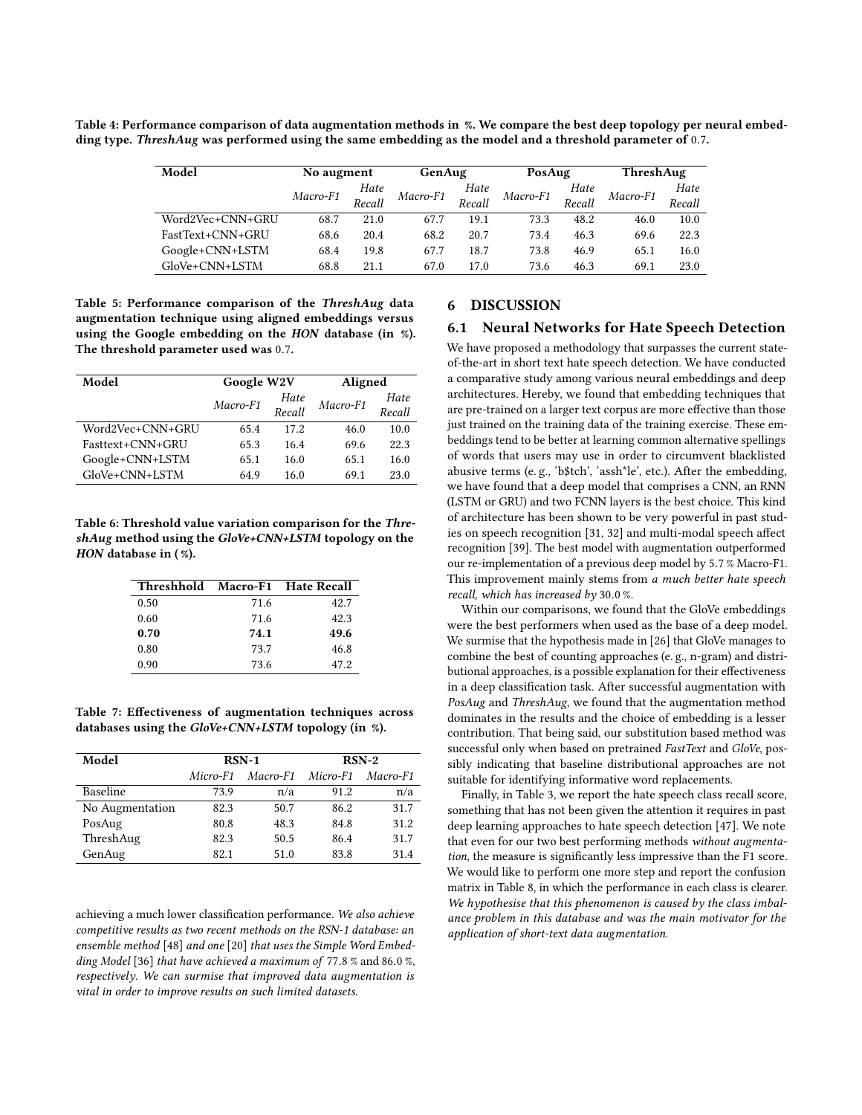<span id="page-6-0"></span>Table 4: Performance comparison of data augmentation methods in %. We compare the best deep topology per neural embedding type. ThreshAug was performed using the same embedding as the model and a threshold parameter of <sup>0</sup>.7.

| Model            | No augment |        | GenAug   |        | PosAug   |        | ThreshAug |        |
|------------------|------------|--------|----------|--------|----------|--------|-----------|--------|
|                  | Macro-F1   | Hate   | Macro-F1 | Hate   | Macro-F1 | Hate   | Macro-F1  | Hate   |
|                  |            | Recall |          | Recall |          | Recall |           | Recall |
| Word2Vec+CNN+GRU | 68.7       | 21.0   | 67.7     | 19.1   | 73.3     | 48.2   | 46.0      | 10.0   |
| FastText+CNN+GRU | 68.6       | 20.4   | 68.2     | 20.7   | 73.4     | 46.3   | 69.6      | 22.3   |
| Google+CNN+LSTM  | 68.4       | 19.8   | 67.7     | 18.7   | 73.8     | 46.9   | 65.1      | 16.0   |
| GloVe+CNN+LSTM   | 68.8       | 21.1   | 67.0     | 17.0   | 73.6     | 46.3   | 69.1      | 23.0   |

<span id="page-6-1"></span>Table 5: Performance comparison of the ThreshAug data augmentation technique using aligned embeddings versus using the Google embedding on the HON database (in %). The threshold parameter used was <sup>0</sup>.7.

| Model            | Google W2V         |      | Aligned  |        |
|------------------|--------------------|------|----------|--------|
|                  |                    | Hate | Macro-F1 | Hate   |
|                  | Macro-F1<br>Recall |      |          | Recall |
| Word2Vec+CNN+GRU | 65.4               | 17.2 | 46.0     | 10.0   |
| Fasttext+CNN+GRU | 65.3               | 16.4 | 69.6     | 22.3   |
| Google+CNN+LSTM  | 65.1               | 16.0 | 65.1     | 16.0   |
| GloVe+CNN+LSTM   | 64.9               | 16.0 | 69.1     | 23.0   |

<span id="page-6-2"></span>Table 6: Threshold value variation comparison for the ThreshAug method using the GloVe+CNN+LSTM topology on the HON database in (%).

| Threshhold Macro-F1 Hate Recall |      |      |
|---------------------------------|------|------|
| 0.50                            | 71.6 | 42.7 |
| 0.60                            | 71.6 | 42.3 |
| 0.70                            | 74.1 | 49.6 |
| 0.80                            | 73.7 | 46.8 |
| 0.90                            | 73.6 | 47.2 |

<span id="page-6-3"></span>Table 7: Effectiveness of augmentation techniques across databases using the GloVe+CNN+LSTM topology (in %).

| Model           |          | $RSN-1$           |      | $RSN-2$  |
|-----------------|----------|-------------------|------|----------|
|                 | Micro-F1 | Macro-F1 Micro-F1 |      | Macro-F1 |
| Baseline        | 73.9     | n/a               | 91.2 | n/a      |
| No Augmentation | 82.3     | 50.7              | 86.2 | 31.7     |
| PosAug          | 80.8     | 48.3              | 84.8 | 31.2     |
| ThreshAug       | 82.3     | 50.5              | 86.4 | 31.7     |
| GenAug          | 82.1     | 51.0              | 83.8 | 31.4     |

achieving a much lower classification performance. We also achieve competitive results as two recent methods on the RSN-1 database: an ensemble method [\[48\]](#page-9-34) and one [\[20\]](#page-9-35) that uses the Simple Word Embedding Model [\[36\]](#page-9-36) that have achieved a maximum of <sup>77</sup>.8 % and <sup>86</sup>.0 %, respectively. We can surmise that improved data augmentation is vital in order to improve results on such limited datasets.

# 6 DISCUSSION

# 6.1 Neural Networks for Hate Speech Detection

We have proposed a methodology that surpasses the current stateof-the-art in short text hate speech detection. We have conducted a comparative study among various neural embeddings and deep architectures. Hereby, we found that embedding techniques that are pre-trained on a larger text corpus are more effective than those just trained on the training data of the training exercise. These embeddings tend to be better at learning common alternative spellings of words that users may use in order to circumvent blacklisted abusive terms (e. g., 'b\$tch', 'assh\*le', etc.). After the embedding, we have found that a deep model that comprises a CNN, an RNN (LSTM or GRU) and two FCNN layers is the best choice. This kind of architecture has been shown to be very powerful in past studies on speech recognition [\[31,](#page-9-37) [32\]](#page-9-38) and multi-modal speech affect recognition [\[39\]](#page-9-39). The best model with augmentation outperformed our re-implementation of a previous deep model by <sup>5</sup>.7 % Macro-F1. This improvement mainly stems from a much better hate speech recall, which has increased by 30.0 %.

Within our comparisons, we found that the GloVe embeddings were the best performers when used as the base of a deep model. We surmise that the hypothesis made in [\[26\]](#page-9-25) that GloVe manages to combine the best of counting approaches (e. g., n-gram) and distributional approaches, is a possible explanation for their effectiveness in a deep classification task. After successful augmentation with PosAug and ThreshAug, we found that the augmentation method dominates in the results and the choice of embedding is a lesser contribution. That being said, our substitution based method was successful only when based on pretrained FastText and GloVe, possibly indicating that baseline distributional approaches are not suitable for identifying informative word replacements.

Finally, in Table [3,](#page-4-6) we report the hate speech class recall score, something that has not been given the attention it requires in past deep learning approaches to hate speech detection [\[47\]](#page-9-6). We note that even for our two best performing methods without augmentation, the measure is significantly less impressive than the F1 score. We would like to perform one more step and report the confusion matrix in Table [8,](#page-7-0) in which the performance in each class is clearer. We hypothesise that this phenomenon is caused by the class imbalance problem in this database and was the main motivator for the application of short-text data augmentation.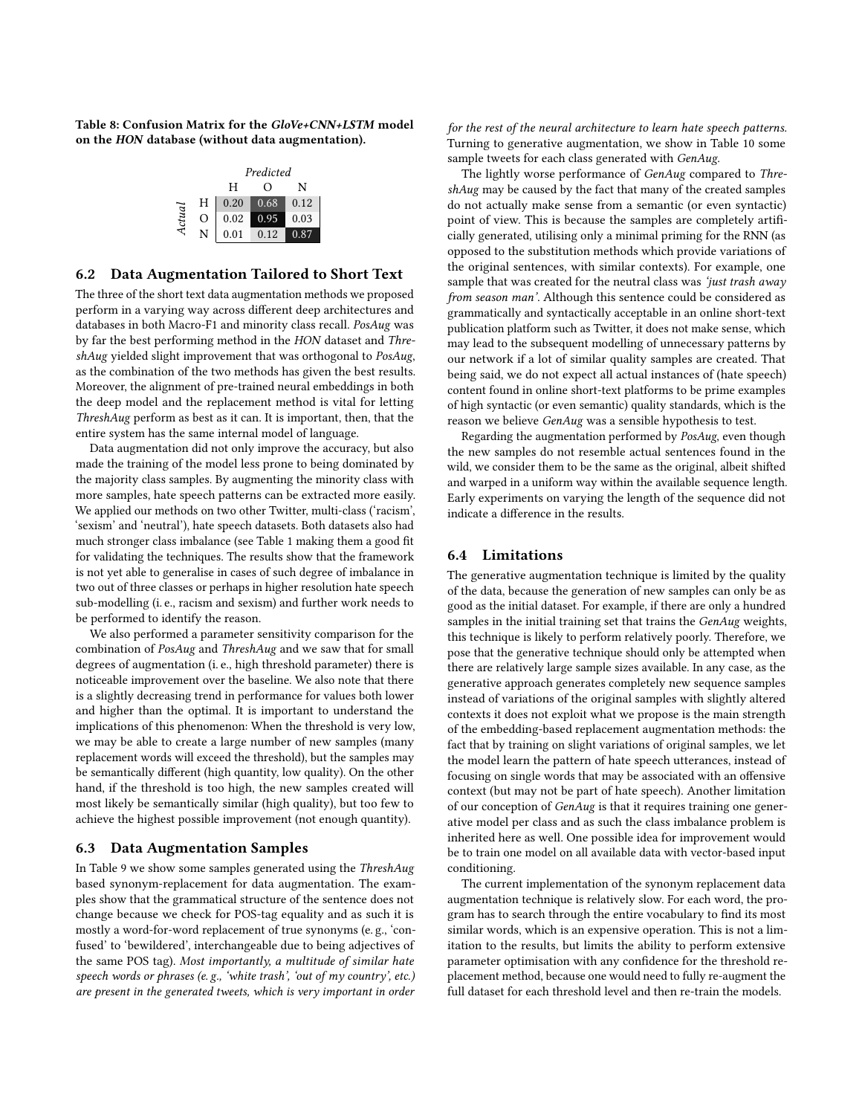<span id="page-7-0"></span>Table 8: Confusion Matrix for the GloVe+CNN+LSTM model on the HON database (without data augmentation).

|        |   |      | Predicted        |      |
|--------|---|------|------------------|------|
|        |   | H    | $\left( \right)$ | N    |
|        | Н | 0.20 | 0.68             | 0.12 |
| Actual | O | 0.02 | 0.95             | 0.03 |
|        | N | 0.01 | 0.12             | 0.87 |

## 6.2 Data Augmentation Tailored to Short Text

The three of the short text data augmentation methods we proposed perform in a varying way across different deep architectures and databases in both Macro-F1 and minority class recall. PosAug was by far the best performing method in the HON dataset and ThreshAug yielded slight improvement that was orthogonal to PosAug, as the combination of the two methods has given the best results. Moreover, the alignment of pre-trained neural embeddings in both the deep model and the replacement method is vital for letting ThreshAug perform as best as it can. It is important, then, that the entire system has the same internal model of language.

Data augmentation did not only improve the accuracy, but also made the training of the model less prone to being dominated by the majority class samples. By augmenting the minority class with more samples, hate speech patterns can be extracted more easily. We applied our methods on two other Twitter, multi-class ('racism', 'sexism' and 'neutral'), hate speech datasets. Both datasets also had much stronger class imbalance (see Table [1](#page-2-1) making them a good fit for validating the techniques. The results show that the framework is not yet able to generalise in cases of such degree of imbalance in two out of three classes or perhaps in higher resolution hate speech sub-modelling (i. e., racism and sexism) and further work needs to be performed to identify the reason.

We also performed a parameter sensitivity comparison for the combination of PosAug and ThreshAug and we saw that for small degrees of augmentation (i. e., high threshold parameter) there is noticeable improvement over the baseline. We also note that there is a slightly decreasing trend in performance for values both lower and higher than the optimal. It is important to understand the implications of this phenomenon: When the threshold is very low, we may be able to create a large number of new samples (many replacement words will exceed the threshold), but the samples may be semantically different (high quantity, low quality). On the other hand, if the threshold is too high, the new samples created will most likely be semantically similar (high quality), but too few to achieve the highest possible improvement (not enough quantity).

# 6.3 Data Augmentation Samples

In Table [9](#page-8-5) we show some samples generated using the ThreshAug based synonym-replacement for data augmentation. The examples show that the grammatical structure of the sentence does not change because we check for POS-tag equality and as such it is mostly a word-for-word replacement of true synonyms (e. g., 'confused' to 'bewildered', interchangeable due to being adjectives of the same POS tag). Most importantly, a multitude of similar hate speech words or phrases (e. g., 'white trash', 'out of my country', etc.) are present in the generated tweets, which is very important in order for the rest of the neural architecture to learn hate speech patterns. Turning to generative augmentation, we show in Table [10](#page-8-6) some sample tweets for each class generated with GenAug.

The lightly worse performance of GenAug compared to ThreshAug may be caused by the fact that many of the created samples do not actually make sense from a semantic (or even syntactic) point of view. This is because the samples are completely artificially generated, utilising only a minimal priming for the RNN (as opposed to the substitution methods which provide variations of the original sentences, with similar contexts). For example, one sample that was created for the neutral class was 'just trash away from season man'. Although this sentence could be considered as grammatically and syntactically acceptable in an online short-text publication platform such as Twitter, it does not make sense, which may lead to the subsequent modelling of unnecessary patterns by our network if a lot of similar quality samples are created. That being said, we do not expect all actual instances of (hate speech) content found in online short-text platforms to be prime examples of high syntactic (or even semantic) quality standards, which is the reason we believe GenAug was a sensible hypothesis to test.

Regarding the augmentation performed by PosAug, even though the new samples do not resemble actual sentences found in the wild, we consider them to be the same as the original, albeit shifted and warped in a uniform way within the available sequence length. Early experiments on varying the length of the sequence did not indicate a difference in the results.

# 6.4 Limitations

The generative augmentation technique is limited by the quality of the data, because the generation of new samples can only be as good as the initial dataset. For example, if there are only a hundred samples in the initial training set that trains the GenAug weights, this technique is likely to perform relatively poorly. Therefore, we pose that the generative technique should only be attempted when there are relatively large sample sizes available. In any case, as the generative approach generates completely new sequence samples instead of variations of the original samples with slightly altered contexts it does not exploit what we propose is the main strength of the embedding-based replacement augmentation methods: the fact that by training on slight variations of original samples, we let the model learn the pattern of hate speech utterances, instead of focusing on single words that may be associated with an offensive context (but may not be part of hate speech). Another limitation of our conception of GenAug is that it requires training one generative model per class and as such the class imbalance problem is inherited here as well. One possible idea for improvement would be to train one model on all available data with vector-based input conditioning.

The current implementation of the synonym replacement data augmentation technique is relatively slow. For each word, the program has to search through the entire vocabulary to find its most similar words, which is an expensive operation. This is not a limitation to the results, but limits the ability to perform extensive parameter optimisation with any confidence for the threshold replacement method, because one would need to fully re-augment the full dataset for each threshold level and then re-train the models.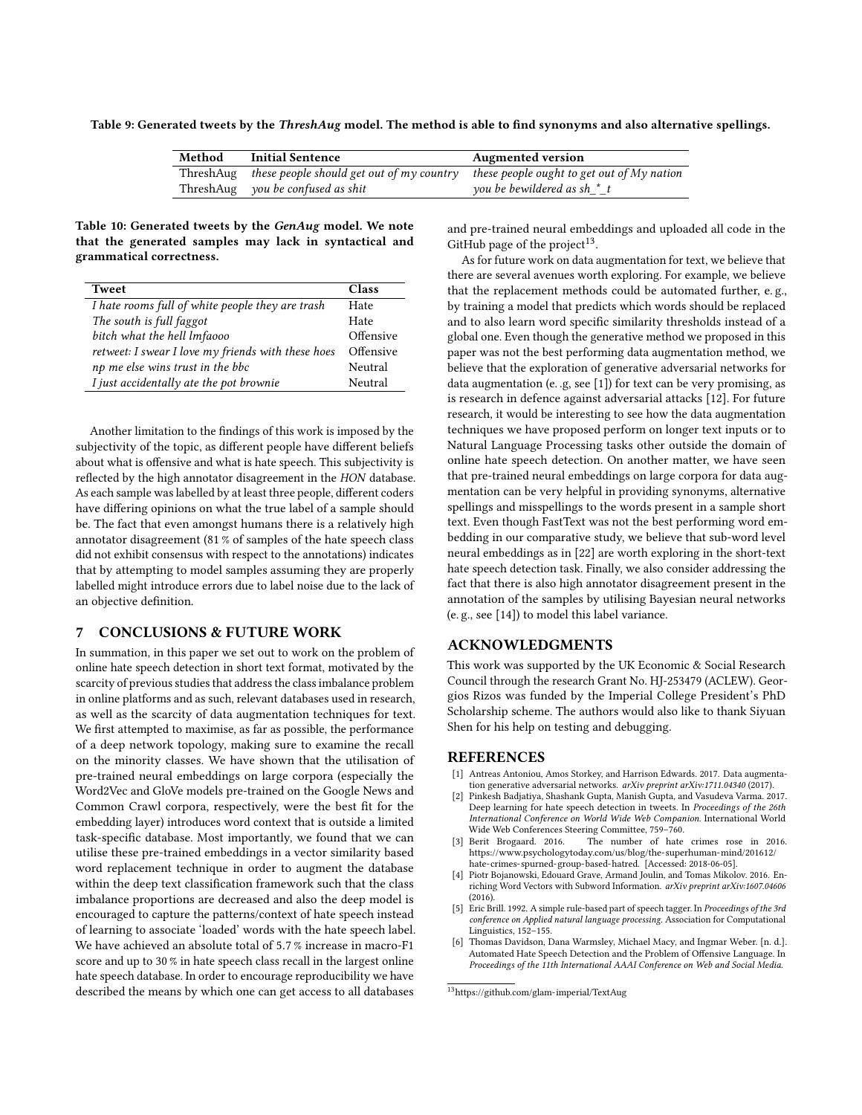<span id="page-8-5"></span>Table 9: Generated tweets by the ThreshAug model. The method is able to find synonyms and also alternative spellings.

| Method | <b>Initial Sentence</b>                             | <b>Augmented version</b>                     |
|--------|-----------------------------------------------------|----------------------------------------------|
|        | ThreshAug these people should get out of my country | these people ought to get out of $Mv$ nation |
|        | ThreshAug you be confused as shit                   | you be bewildered as sh $*$ t                |

<span id="page-8-6"></span>Table 10: Generated tweets by the GenAug model. We note that the generated samples may lack in syntactical and grammatical correctness.

| <b>Tweet</b>                                       | Class     |
|----------------------------------------------------|-----------|
| I hate rooms full of white people they are trash   | Hate      |
| The south is full faggot                           | Hate      |
| bitch what the hell Imfaooo                        | Offensive |
| retweet: I swear I love my friends with these hoes | Offensive |
| np me else wins trust in the bbc                   | Neutral   |
| I just accidentally ate the pot brownie            | Neutral   |

Another limitation to the findings of this work is imposed by the subjectivity of the topic, as different people have different beliefs about what is offensive and what is hate speech. This subjectivity is reflected by the high annotator disagreement in the HON database. As each sample was labelled by at least three people, different coders have differing opinions on what the true label of a sample should be. The fact that even amongst humans there is a relatively high annotator disagreement (81 % of samples of the hate speech class did not exhibit consensus with respect to the annotations) indicates that by attempting to model samples assuming they are properly labelled might introduce errors due to label noise due to the lack of an objective definition.

# 7 CONCLUSIONS & FUTURE WORK

In summation, in this paper we set out to work on the problem of online hate speech detection in short text format, motivated by the scarcity of previous studies that address the class imbalance problem in online platforms and as such, relevant databases used in research, as well as the scarcity of data augmentation techniques for text. We first attempted to maximise, as far as possible, the performance of a deep network topology, making sure to examine the recall on the minority classes. We have shown that the utilisation of pre-trained neural embeddings on large corpora (especially the Word2Vec and GloVe models pre-trained on the Google News and Common Crawl corpora, respectively, were the best fit for the embedding layer) introduces word context that is outside a limited task-specific database. Most importantly, we found that we can utilise these pre-trained embeddings in a vector similarity based word replacement technique in order to augment the database within the deep text classification framework such that the class imbalance proportions are decreased and also the deep model is encouraged to capture the patterns/context of hate speech instead of learning to associate 'loaded' words with the hate speech label. We have achieved an absolute total of <sup>5</sup>.7 % increase in macro-F1 score and up to 30 % in hate speech class recall in the largest online hate speech database. In order to encourage reproducibility we have described the means by which one can get access to all databases

and pre-trained neural embeddings and uploaded all code in the GitHub page of the project $^{13}$  $^{13}$  $^{13}$ .

As for future work on data augmentation for text, we believe that there are several avenues worth exploring. For example, we believe that the replacement methods could be automated further, e. g., by training a model that predicts which words should be replaced and to also learn word specific similarity thresholds instead of a global one. Even though the generative method we proposed in this paper was not the best performing data augmentation method, we believe that the exploration of generative adversarial networks for data augmentation (e. .g, see [\[1\]](#page-8-8)) for text can be very promising, as is research in defence against adversarial attacks [\[12\]](#page-9-40). For future research, it would be interesting to see how the data augmentation techniques we have proposed perform on longer text inputs or to Natural Language Processing tasks other outside the domain of online hate speech detection. On another matter, we have seen that pre-trained neural embeddings on large corpora for data augmentation can be very helpful in providing synonyms, alternative spellings and misspellings to the words present in a sample short text. Even though FastText was not the best performing word embedding in our comparative study, we believe that sub-word level neural embeddings as in [\[22\]](#page-9-41) are worth exploring in the short-text hate speech detection task. Finally, we also consider addressing the fact that there is also high annotator disagreement present in the annotation of the samples by utilising Bayesian neural networks (e. g., see [\[14\]](#page-9-42)) to model this label variance.

#### ACKNOWLEDGMENTS

This work was supported by the UK Economic & Social Research Council through the research Grant No. HJ-253479 (ACLEW). Georgios Rizos was funded by the Imperial College President's PhD Scholarship scheme. The authors would also like to thank Siyuan Shen for his help on testing and debugging.

## REFERENCES

- <span id="page-8-8"></span>[1] Antreas Antoniou, Amos Storkey, and Harrison Edwards. 2017. Data augmentation generative adversarial networks. arXiv preprint arXiv:1711.04340 (2017).
- <span id="page-8-2"></span>[2] Pinkesh Badjatiya, Shashank Gupta, Manish Gupta, and Vasudeva Varma. 2017. Deep learning for hate speech detection in tweets. In Proceedings of the 26th International Conference on World Wide Web Companion. International World Wide Web Conferences Steering Committee, 759–760.
- <span id="page-8-0"></span>[3] Berit Brogaard. 2016. The number of hate crimes rose in 2016. [https://www.psychologytoday.com/us/blog/the-superhuman-mind/201612/](https://www.psychologytoday.com/us/blog/the-superhuman-mind/201612/hate-crimes-spurned-group-based-hatred) [hate-crimes-spurned-group-based-hatred.](https://www.psychologytoday.com/us/blog/the-superhuman-mind/201612/hate-crimes-spurned-group-based-hatred) [Accessed: 2018-06-05].
- <span id="page-8-3"></span>[4] Piotr Bojanowski, Edouard Grave, Armand Joulin, and Tomas Mikolov. 2016. Enriching Word Vectors with Subword Information. arXiv preprint arXiv:1607.04606  $(2016)$
- <span id="page-8-4"></span>[5] Eric Brill. 1992. A simple rule-based part of speech tagger. In Proceedings of the 3rd conference on Applied natural language processing. Association for Computational Linguistics, 152–155.
- <span id="page-8-1"></span>[6] Thomas Davidson, Dana Warmsley, Michael Macy, and Ingmar Weber. [n. d.]. Automated Hate Speech Detection and the Problem of Offensive Language. In Proceedings of the 11th International AAAI Conference on Web and Social Media.

<span id="page-8-7"></span><sup>13</sup><https://github.com/glam-imperial/TextAug>